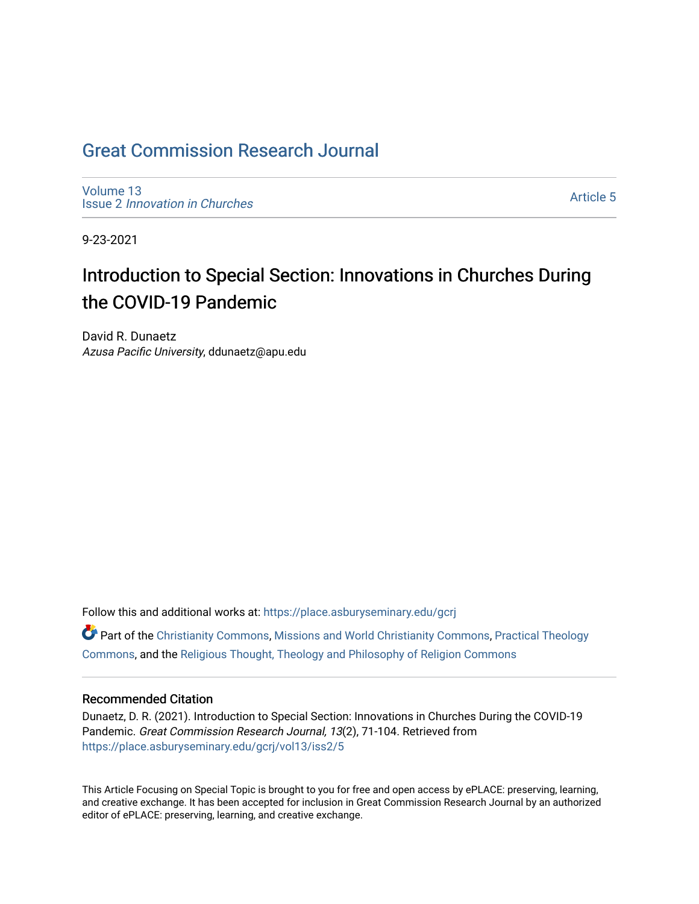## [Great Commission Research Journal](https://place.asburyseminary.edu/gcrj)

[Volume 13](https://place.asburyseminary.edu/gcrj/vol13) Issue 2 [Innovation in Churches](https://place.asburyseminary.edu/gcrj/vol13/iss2)

[Article 5](https://place.asburyseminary.edu/gcrj/vol13/iss2/5) 

9-23-2021

## Introduction to Special Section: Innovations in Churches During the COVID-19 Pandemic

David R. Dunaetz Azusa Pacific University, ddunaetz@apu.edu

Follow this and additional works at: [https://place.asburyseminary.edu/gcrj](https://place.asburyseminary.edu/gcrj?utm_source=place.asburyseminary.edu%2Fgcrj%2Fvol13%2Fiss2%2F5&utm_medium=PDF&utm_campaign=PDFCoverPages) 

 $\bullet$  Part of the [Christianity Commons,](http://network.bepress.com/hgg/discipline/1181?utm_source=place.asburyseminary.edu%2Fgcrj%2Fvol13%2Fiss2%2F5&utm_medium=PDF&utm_campaign=PDFCoverPages) [Missions and World Christianity Commons](http://network.bepress.com/hgg/discipline/1187?utm_source=place.asburyseminary.edu%2Fgcrj%2Fvol13%2Fiss2%2F5&utm_medium=PDF&utm_campaign=PDFCoverPages), Practical Theology [Commons](http://network.bepress.com/hgg/discipline/1186?utm_source=place.asburyseminary.edu%2Fgcrj%2Fvol13%2Fiss2%2F5&utm_medium=PDF&utm_campaign=PDFCoverPages), and the [Religious Thought, Theology and Philosophy of Religion Commons](http://network.bepress.com/hgg/discipline/544?utm_source=place.asburyseminary.edu%2Fgcrj%2Fvol13%2Fiss2%2F5&utm_medium=PDF&utm_campaign=PDFCoverPages) 

#### Recommended Citation

Dunaetz, D. R. (2021). Introduction to Special Section: Innovations in Churches During the COVID-19 Pandemic. Great Commission Research Journal, 13(2), 71-104. Retrieved from [https://place.asburyseminary.edu/gcrj/vol13/iss2/5](https://place.asburyseminary.edu/gcrj/vol13/iss2/5?utm_source=place.asburyseminary.edu%2Fgcrj%2Fvol13%2Fiss2%2F5&utm_medium=PDF&utm_campaign=PDFCoverPages) 

This Article Focusing on Special Topic is brought to you for free and open access by ePLACE: preserving, learning, and creative exchange. It has been accepted for inclusion in Great Commission Research Journal by an authorized editor of ePLACE: preserving, learning, and creative exchange.